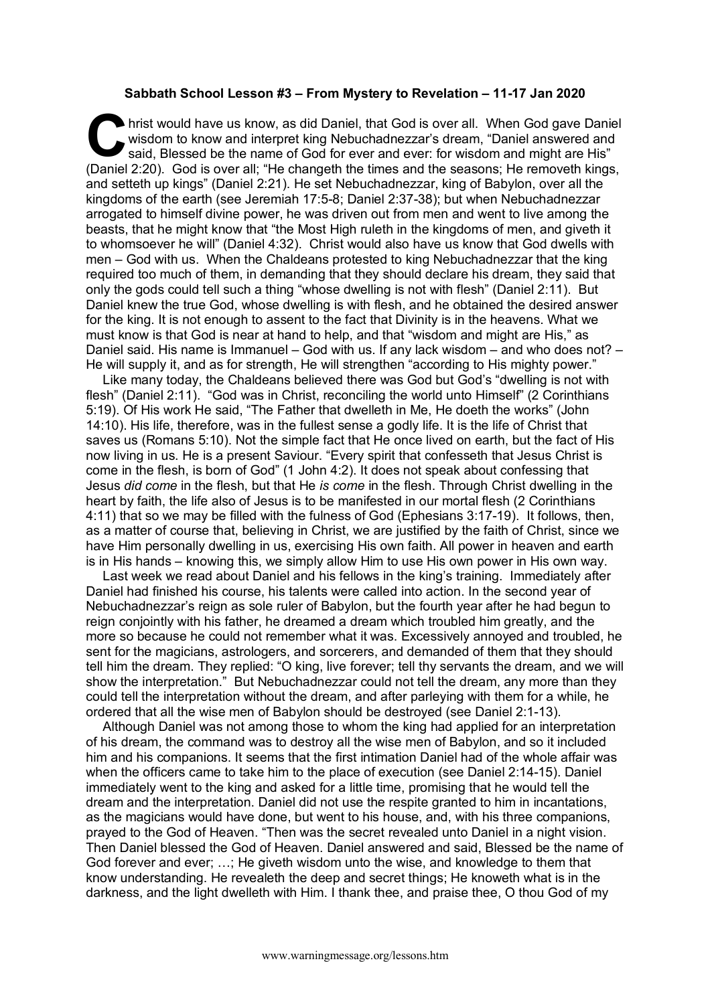## **Sabbath School Lesson #3 – From Mystery to Revelation – 11-17 Jan 2020**

hrist would have us know, as did Daniel, that God is over all. When God gave Daniel<br>
said, Blessed be the name of God for ever and ever: for wisdom and might are His"<br>
(Daniel 3:30) wisdom to know and interpret king Nebuchadnezzar's dream, "Daniel answered and said, Blessed be the name of God for ever and ever: for wisdom and might are His" (Daniel 2:20). God is over all; "He changeth the times and the seasons; He removeth kings, and setteth up kings" (Daniel 2:21). He set Nebuchadnezzar, king of Babylon, over all the kingdoms of the earth (see Jeremiah 17:5-8; Daniel 2:37-38); but when Nebuchadnezzar arrogated to himself divine power, he was driven out from men and went to live among the beasts, that he might know that "the Most High ruleth in the kingdoms of men, and giveth it to whomsoever he will" (Daniel 4:32). Christ would also have us know that God dwells with men – God with us. When the Chaldeans protested to king Nebuchadnezzar that the king required too much of them, in demanding that they should declare his dream, they said that only the gods could tell such a thing "whose dwelling is not with flesh" (Daniel 2:11). But Daniel knew the true God, whose dwelling is with flesh, and he obtained the desired answer for the king. It is not enough to assent to the fact that Divinity is in the heavens. What we must know is that God is near at hand to help, and that "wisdom and might are His," as Daniel said. His name is Immanuel – God with us. If any lack wisdom – and who does not? – He will supply it, and as for strength, He will strengthen "according to His mighty power."

Like many today, the Chaldeans believed there was God but God's "dwelling is not with flesh" (Daniel 2:11). "God was in Christ, reconciling the world unto Himself" (2 Corinthians 5:19). Of His work He said, "The Father that dwelleth in Me, He doeth the works" (John 14:10). His life, therefore, was in the fullest sense a godly life. It is the life of Christ that saves us (Romans 5:10). Not the simple fact that He once lived on earth, but the fact of His now living in us. He is a present Saviour. "Every spirit that confesseth that Jesus Christ is come in the flesh, is born of God" (1 John 4:2). It does not speak about confessing that Jesus *did come* in the flesh, but that He *is come* in the flesh. Through Christ dwelling in the heart by faith, the life also of Jesus is to be manifested in our mortal flesh (2 Corinthians 4:11) that so we may be filled with the fulness of God (Ephesians 3:17-19). It follows, then, as a matter of course that, believing in Christ, we are justified by the faith of Christ, since we have Him personally dwelling in us, exercising His own faith. All power in heaven and earth is in His hands – knowing this, we simply allow Him to use His own power in His own way.

Last week we read about Daniel and his fellows in the king's training. Immediately after Daniel had finished his course, his talents were called into action. In the second year of Nebuchadnezzar's reign as sole ruler of Babylon, but the fourth year after he had begun to reign conjointly with his father, he dreamed a dream which troubled him greatly, and the more so because he could not remember what it was. Excessively annoyed and troubled, he sent for the magicians, astrologers, and sorcerers, and demanded of them that they should tell him the dream. They replied: "O king, live forever; tell thy servants the dream, and we will show the interpretation." But Nebuchadnezzar could not tell the dream, any more than they could tell the interpretation without the dream, and after parleying with them for a while, he ordered that all the wise men of Babylon should be destroyed (see Daniel 2:1-13).

Although Daniel was not among those to whom the king had applied for an interpretation of his dream, the command was to destroy all the wise men of Babylon, and so it included him and his companions. It seems that the first intimation Daniel had of the whole affair was when the officers came to take him to the place of execution (see Daniel 2:14-15). Daniel immediately went to the king and asked for a little time, promising that he would tell the dream and the interpretation. Daniel did not use the respite granted to him in incantations, as the magicians would have done, but went to his house, and, with his three companions, prayed to the God of Heaven. "Then was the secret revealed unto Daniel in a night vision. Then Daniel blessed the God of Heaven. Daniel answered and said, Blessed be the name of God forever and ever; …; He giveth wisdom unto the wise, and knowledge to them that know understanding. He revealeth the deep and secret things; He knoweth what is in the darkness, and the light dwelleth with Him. I thank thee, and praise thee, O thou God of my